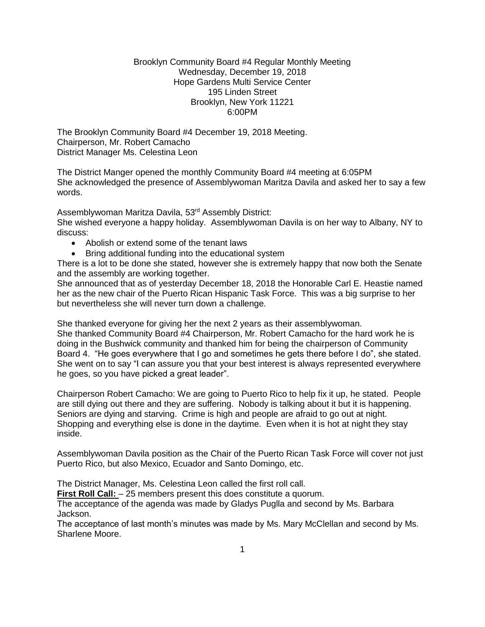### Brooklyn Community Board #4 Regular Monthly Meeting Wednesday, December 19, 2018 Hope Gardens Multi Service Center 195 Linden Street Brooklyn, New York 11221 6:00PM

The Brooklyn Community Board #4 December 19, 2018 Meeting. Chairperson, Mr. Robert Camacho District Manager Ms. Celestina Leon

The District Manger opened the monthly Community Board #4 meeting at 6:05PM She acknowledged the presence of Assemblywoman Maritza Davila and asked her to say a few words.

Assemblywoman Maritza Davila, 53rd Assembly District:

She wished everyone a happy holiday. Assemblywoman Davila is on her way to Albany, NY to discuss:

- Abolish or extend some of the tenant laws
- Bring additional funding into the educational system

There is a lot to be done she stated, however she is extremely happy that now both the Senate and the assembly are working together.

She announced that as of yesterday December 18, 2018 the Honorable Carl E. Heastie named her as the new chair of the Puerto Rican Hispanic Task Force. This was a big surprise to her but nevertheless she will never turn down a challenge.

She thanked everyone for giving her the next 2 years as their assemblywoman.

She thanked Community Board #4 Chairperson, Mr. Robert Camacho for the hard work he is doing in the Bushwick community and thanked him for being the chairperson of Community Board 4. "He goes everywhere that I go and sometimes he gets there before I do", she stated. She went on to say "I can assure you that your best interest is always represented everywhere he goes, so you have picked a great leader".

Chairperson Robert Camacho: We are going to Puerto Rico to help fix it up, he stated. People are still dying out there and they are suffering. Nobody is talking about it but it is happening. Seniors are dying and starving. Crime is high and people are afraid to go out at night. Shopping and everything else is done in the daytime. Even when it is hot at night they stay inside.

Assemblywoman Davila position as the Chair of the Puerto Rican Task Force will cover not just Puerto Rico, but also Mexico, Ecuador and Santo Domingo, etc.

The District Manager, Ms. Celestina Leon called the first roll call.

**First Roll Call:**  $-25$  members present this does constitute a quorum.

The acceptance of the agenda was made by Gladys Puglla and second by Ms. Barbara Jackson.

The acceptance of last month's minutes was made by Ms. Mary McClellan and second by Ms. Sharlene Moore.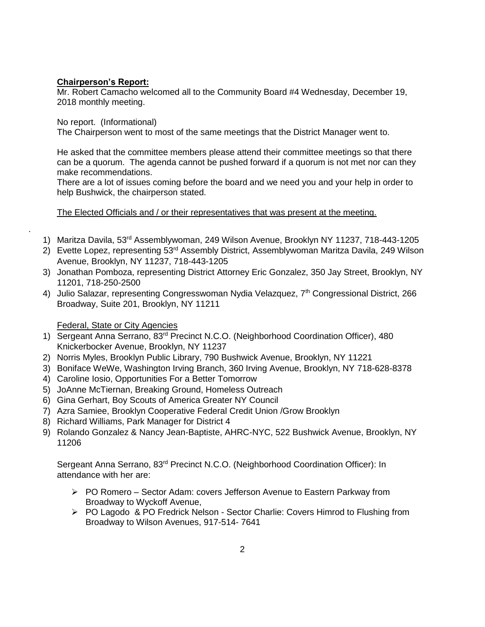# **Chairperson's Report:**

Mr. Robert Camacho welcomed all to the Community Board #4 Wednesday, December 19, 2018 monthly meeting.

No report. (Informational)

.

The Chairperson went to most of the same meetings that the District Manager went to.

He asked that the committee members please attend their committee meetings so that there can be a quorum. The agenda cannot be pushed forward if a quorum is not met nor can they make recommendations.

There are a lot of issues coming before the board and we need you and your help in order to help Bushwick, the chairperson stated.

# The Elected Officials and / or their representatives that was present at the meeting.

- 1) Maritza Davila, 53rd Assemblywoman, 249 Wilson Avenue, Brooklyn NY 11237, 718-443-1205
- 2) Evette Lopez, representing 53rd Assembly District, Assemblywoman Maritza Davila, 249 Wilson Avenue, Brooklyn, NY 11237, 718-443-1205
- 3) Jonathan Pomboza, representing District Attorney Eric Gonzalez, 350 Jay Street, Brooklyn, NY 11201, 718-250-2500
- 4) Julio Salazar, representing Congresswoman Nydia Velazquez, 7<sup>th</sup> Congressional District, 266 Broadway, Suite 201, Brooklyn, NY 11211

# Federal, State or City Agencies

- 1) Sergeant Anna Serrano, 83<sup>rd</sup> Precinct N.C.O. (Neighborhood Coordination Officer), 480 Knickerbocker Avenue, Brooklyn, NY 11237
- 2) Norris Myles, Brooklyn Public Library, 790 Bushwick Avenue, Brooklyn, NY 11221
- 3) Boniface WeWe, Washington Irving Branch, 360 Irving Avenue, Brooklyn, NY 718-628-8378
- 4) Caroline Iosio, Opportunities For a Better Tomorrow
- 5) JoAnne McTiernan, Breaking Ground, Homeless Outreach
- 6) Gina Gerhart, Boy Scouts of America Greater NY Council
- 7) Azra Samiee, Brooklyn Cooperative Federal Credit Union /Grow Brooklyn
- 8) Richard Williams, Park Manager for District 4
- 9) Rolando Gonzalez & Nancy Jean-Baptiste, AHRC-NYC, 522 Bushwick Avenue, Brooklyn, NY 11206

Sergeant Anna Serrano, 83rd Precinct N.C.O. (Neighborhood Coordination Officer): In attendance with her are:

- PO Romero Sector Adam: covers Jefferson Avenue to Eastern Parkway from Broadway to Wyckoff Avenue,
- $\triangleright$  PO Lagodo & PO Fredrick Nelson Sector Charlie: Covers Himrod to Flushing from Broadway to Wilson Avenues, 917-514- 7641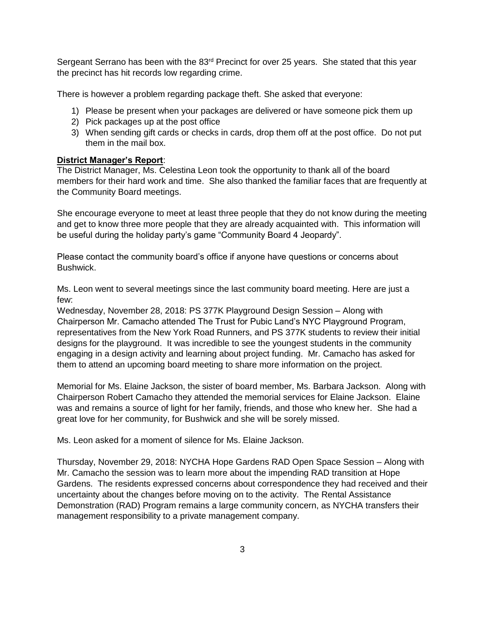Sergeant Serrano has been with the 83<sup>rd</sup> Precinct for over 25 years. She stated that this year the precinct has hit records low regarding crime.

There is however a problem regarding package theft. She asked that everyone:

- 1) Please be present when your packages are delivered or have someone pick them up
- 2) Pick packages up at the post office
- 3) When sending gift cards or checks in cards, drop them off at the post office. Do not put them in the mail box.

#### **District Manager's Report**:

The District Manager, Ms. Celestina Leon took the opportunity to thank all of the board members for their hard work and time. She also thanked the familiar faces that are frequently at the Community Board meetings.

She encourage everyone to meet at least three people that they do not know during the meeting and get to know three more people that they are already acquainted with. This information will be useful during the holiday party's game "Community Board 4 Jeopardy".

Please contact the community board's office if anyone have questions or concerns about Bushwick.

Ms. Leon went to several meetings since the last community board meeting. Here are just a few:

Wednesday, November 28, 2018: PS 377K Playground Design Session – Along with Chairperson Mr. Camacho attended The Trust for Pubic Land's NYC Playground Program, representatives from the New York Road Runners, and PS 377K students to review their initial designs for the playground. It was incredible to see the youngest students in the community engaging in a design activity and learning about project funding. Mr. Camacho has asked for them to attend an upcoming board meeting to share more information on the project.

Memorial for Ms. Elaine Jackson, the sister of board member, Ms. Barbara Jackson. Along with Chairperson Robert Camacho they attended the memorial services for Elaine Jackson. Elaine was and remains a source of light for her family, friends, and those who knew her. She had a great love for her community, for Bushwick and she will be sorely missed.

Ms. Leon asked for a moment of silence for Ms. Elaine Jackson.

Thursday, November 29, 2018: NYCHA Hope Gardens RAD Open Space Session – Along with Mr. Camacho the session was to learn more about the impending RAD transition at Hope Gardens. The residents expressed concerns about correspondence they had received and their uncertainty about the changes before moving on to the activity. The Rental Assistance Demonstration (RAD) Program remains a large community concern, as NYCHA transfers their management responsibility to a private management company.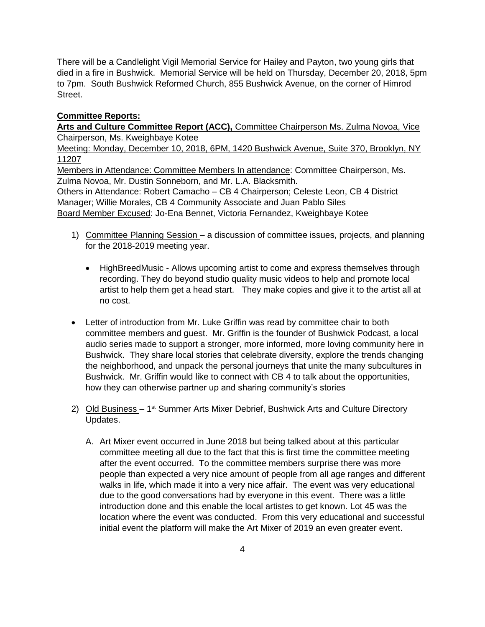There will be a Candlelight Vigil Memorial Service for Hailey and Payton, two young girls that died in a fire in Bushwick. Memorial Service will be held on Thursday, December 20, 2018, 5pm to 7pm. South Bushwick Reformed Church, 855 Bushwick Avenue, on the corner of Himrod Street.

### **Committee Reports:**

**Arts and Culture Committee Report (ACC),** Committee Chairperson Ms. Zulma Novoa, Vice Chairperson, Ms. Kweighbaye Kotee

Meeting: Monday, December 10, 2018, 6PM, 1420 Bushwick Avenue, Suite 370, Brooklyn, NY 11207

Members in Attendance: Committee Members In attendance: Committee Chairperson, Ms. Zulma Novoa, Mr. Dustin Sonneborn, and Mr. L.A. Blacksmith. Others in Attendance: Robert Camacho – CB 4 Chairperson; Celeste Leon, CB 4 District Manager; Willie Morales, CB 4 Community Associate and Juan Pablo Siles Board Member Excused: Jo-Ena Bennet, Victoria Fernandez, Kweighbaye Kotee

- 1) Committee Planning Session a discussion of committee issues, projects, and planning for the 2018-2019 meeting year.
	- HighBreedMusic Allows upcoming artist to come and express themselves through recording. They do beyond studio quality music videos to help and promote local artist to help them get a head start. They make copies and give it to the artist all at no cost.
- Letter of introduction from Mr. Luke Griffin was read by committee chair to both committee members and guest. Mr. Griffin is the founder of Bushwick Podcast, a local audio series made to support a stronger, more informed, more loving community here in Bushwick. They share local stories that celebrate diversity, explore the trends changing the neighborhood, and unpack the personal journeys that unite the many subcultures in Bushwick. Mr. Griffin would like to connect with CB 4 to talk about the opportunities, how they can otherwise partner up and sharing community's stories
- 2) Old Business 1<sup>st</sup> Summer Arts Mixer Debrief, Bushwick Arts and Culture Directory Updates.
	- A. Art Mixer event occurred in June 2018 but being talked about at this particular committee meeting all due to the fact that this is first time the committee meeting after the event occurred. To the committee members surprise there was more people than expected a very nice amount of people from all age ranges and different walks in life, which made it into a very nice affair. The event was very educational due to the good conversations had by everyone in this event. There was a little introduction done and this enable the local artistes to get known. Lot 45 was the location where the event was conducted. From this very educational and successful initial event the platform will make the Art Mixer of 2019 an even greater event.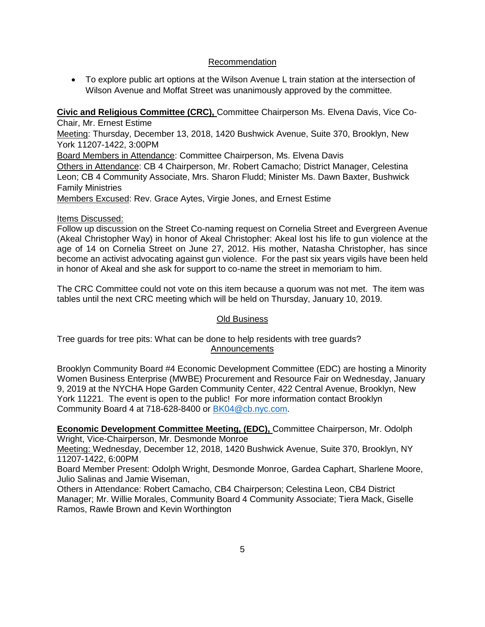## Recommendation

 To explore public art options at the Wilson Avenue L train station at the intersection of Wilson Avenue and Moffat Street was unanimously approved by the committee.

**Civic and Religious Committee (CRC),** Committee Chairperson Ms. Elvena Davis, Vice Co-Chair, Mr. Ernest Estime

Meeting: Thursday, December 13, 2018, 1420 Bushwick Avenue, Suite 370, Brooklyn, New York 11207-1422, 3:00PM

Board Members in Attendance: Committee Chairperson, Ms. Elvena Davis

Others in Attendance: CB 4 Chairperson, Mr. Robert Camacho; District Manager, Celestina Leon; CB 4 Community Associate, Mrs. Sharon Fludd; Minister Ms. Dawn Baxter, Bushwick Family Ministries

Members Excused: Rev. Grace Aytes, Virgie Jones, and Ernest Estime

## Items Discussed:

Follow up discussion on the Street Co-naming request on Cornelia Street and Evergreen Avenue (Akeal Christopher Way) in honor of Akeal Christopher: Akeal lost his life to gun violence at the age of 14 on Cornelia Street on June 27, 2012. His mother, Natasha Christopher, has since become an activist advocating against gun violence. For the past six years vigils have been held in honor of Akeal and she ask for support to co-name the street in memoriam to him.

The CRC Committee could not vote on this item because a quorum was not met. The item was tables until the next CRC meeting which will be held on Thursday, January 10, 2019.

## Old Business

Tree guards for tree pits: What can be done to help residents with tree guards? Announcements

Brooklyn Community Board #4 Economic Development Committee (EDC) are hosting a Minority Women Business Enterprise (MWBE) Procurement and Resource Fair on Wednesday, January 9, 2019 at the NYCHA Hope Garden Community Center, 422 Central Avenue, Brooklyn, New York 11221. The event is open to the public! For more information contact Brooklyn Community Board 4 at 718-628-8400 or [BK04@cb.nyc.com.](mailto:BK04@cb.nyc.com)

**Economic Development Committee Meeting, (EDC),** Committee Chairperson, Mr. Odolph Wright, Vice-Chairperson, Mr. Desmonde Monroe

Meeting: Wednesday, December 12, 2018, 1420 Bushwick Avenue, Suite 370, Brooklyn, NY 11207-1422, 6:00PM

Board Member Present: Odolph Wright, Desmonde Monroe, Gardea Caphart, Sharlene Moore, Julio Salinas and Jamie Wiseman,

Others in Attendance: Robert Camacho, CB4 Chairperson; Celestina Leon, CB4 District Manager; Mr. Willie Morales, Community Board 4 Community Associate; Tiera Mack, Giselle Ramos, Rawle Brown and Kevin Worthington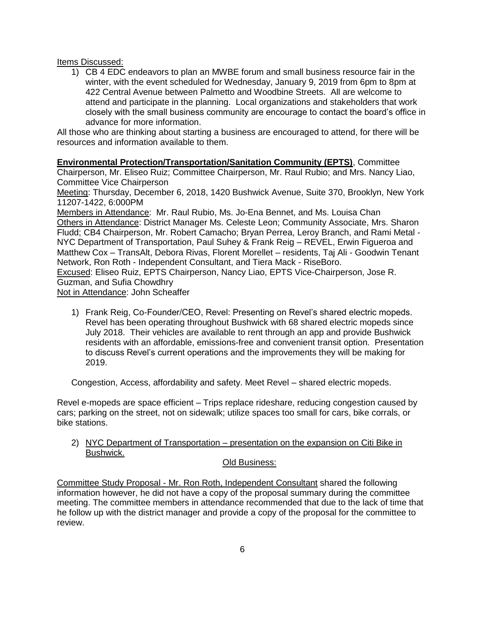Items Discussed:

1) CB 4 EDC endeavors to plan an MWBE forum and small business resource fair in the winter, with the event scheduled for Wednesday, January 9, 2019 from 6pm to 8pm at 422 Central Avenue between Palmetto and Woodbine Streets. All are welcome to attend and participate in the planning. Local organizations and stakeholders that work closely with the small business community are encourage to contact the board's office in advance for more information.

All those who are thinking about starting a business are encouraged to attend, for there will be resources and information available to them.

**Environmental Protection/Transportation/Sanitation Community (EPTS)**, Committee Chairperson, Mr. Eliseo Ruiz; Committee Chairperson, Mr. Raul Rubio; and Mrs. Nancy Liao, Committee Vice Chairperson

Meeting: Thursday, December 6, 2018, 1420 Bushwick Avenue, Suite 370, Brooklyn, New York 11207-1422, 6:000PM

Members in Attendance: Mr. Raul Rubio, Ms. Jo-Ena Bennet, and Ms. Louisa Chan Others in Attendance: District Manager Ms. Celeste Leon; Community Associate, Mrs. Sharon Fludd; CB4 Chairperson, Mr. Robert Camacho; Bryan Perrea, Leroy Branch, and Rami Metal - NYC Department of Transportation, Paul Suhey & Frank Reig – REVEL, Erwin Figueroa and Matthew Cox – TransAlt, Debora Rivas, Florent Morellet – residents, Taj Ali - Goodwin Tenant Network, Ron Roth - Independent Consultant, and Tiera Mack - RiseBoro.

Excused: Eliseo Ruiz, EPTS Chairperson, Nancy Liao, EPTS Vice-Chairperson, Jose R. Guzman, and Sufia Chowdhry

Not in Attendance: John Scheaffer

1) Frank Reig, Co-Founder/CEO, Revel: Presenting on Revel's shared electric mopeds. Revel has been operating throughout Bushwick with 68 shared electric mopeds since July 2018. Their vehicles are available to rent through an app and provide Bushwick residents with an affordable, emissions-free and convenient transit option. Presentation to discuss Revel's current operations and the improvements they will be making for 2019.

Congestion, Access, affordability and safety. Meet Revel – shared electric mopeds.

Revel e-mopeds are space efficient – Trips replace rideshare, reducing congestion caused by cars; parking on the street, not on sidewalk; utilize spaces too small for cars, bike corrals, or bike stations.

2) NYC Department of Transportation – presentation on the expansion on Citi Bike in Bushwick.

#### Old Business:

Committee Study Proposal - Mr. Ron Roth, Independent Consultant shared the following information however, he did not have a copy of the proposal summary during the committee meeting. The committee members in attendance recommended that due to the lack of time that he follow up with the district manager and provide a copy of the proposal for the committee to review.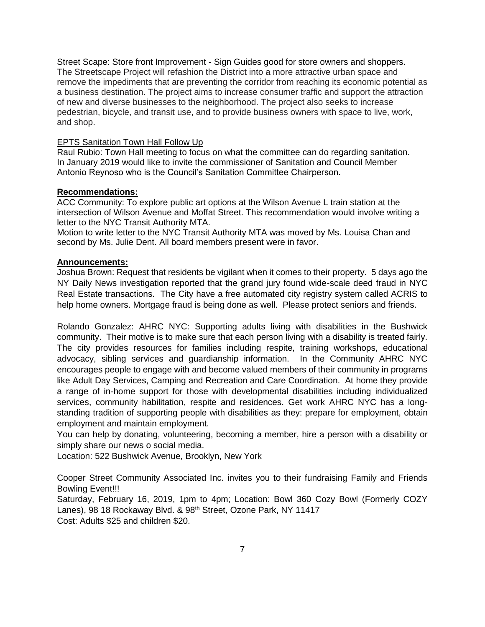Street Scape: Store front Improvement - Sign Guides good for store owners and shoppers. The Streetscape Project will refashion the District into a more attractive urban space and remove the impediments that are preventing the corridor from reaching its economic potential as a business destination. The project aims to increase consumer traffic and support the attraction of new and diverse businesses to the neighborhood. The project also seeks to increase pedestrian, bicycle, and transit use, and to provide business owners with space to live, work, and shop.

### EPTS Sanitation Town Hall Follow Up

Raul Rubio: Town Hall meeting to focus on what the committee can do regarding sanitation. In January 2019 would like to invite the commissioner of Sanitation and Council Member Antonio Reynoso who is the Council's Sanitation Committee Chairperson.

## **Recommendations:**

ACC Community: To explore public art options at the Wilson Avenue L train station at the intersection of Wilson Avenue and Moffat Street. This recommendation would involve writing a letter to the NYC Transit Authority MTA.

Motion to write letter to the NYC Transit Authority MTA was moved by Ms. Louisa Chan and second by Ms. Julie Dent. All board members present were in favor.

## **Announcements:**

Joshua Brown: Request that residents be vigilant when it comes to their property. 5 days ago the NY Daily News investigation reported that the grand jury found wide-scale deed fraud in NYC Real Estate transactions. The City have a free automated city registry system called ACRIS to help home owners. Mortgage fraud is being done as well. Please protect seniors and friends.

Rolando Gonzalez: AHRC NYC: Supporting adults living with disabilities in the Bushwick community. Their motive is to make sure that each person living with a disability is treated fairly. The city provides resources for families including respite, training workshops, educational advocacy, sibling services and guardianship information. In the Community AHRC NYC encourages people to engage with and become valued members of their community in programs like Adult Day Services, Camping and Recreation and Care Coordination. At home they provide a range of in-home support for those with developmental disabilities including individualized services, community habilitation, respite and residences. Get work AHRC NYC has a longstanding tradition of supporting people with disabilities as they: prepare for employment, obtain employment and maintain employment.

You can help by donating, volunteering, becoming a member, hire a person with a disability or simply share our news o social media.

Location: 522 Bushwick Avenue, Brooklyn, New York

Cooper Street Community Associated Inc. invites you to their fundraising Family and Friends Bowling Event!!!

Saturday, February 16, 2019, 1pm to 4pm; Location: Bowl 360 Cozy Bowl (Formerly COZY Lanes), 98 18 Rockaway Blvd. & 98<sup>th</sup> Street, Ozone Park, NY 11417 Cost: Adults \$25 and children \$20.